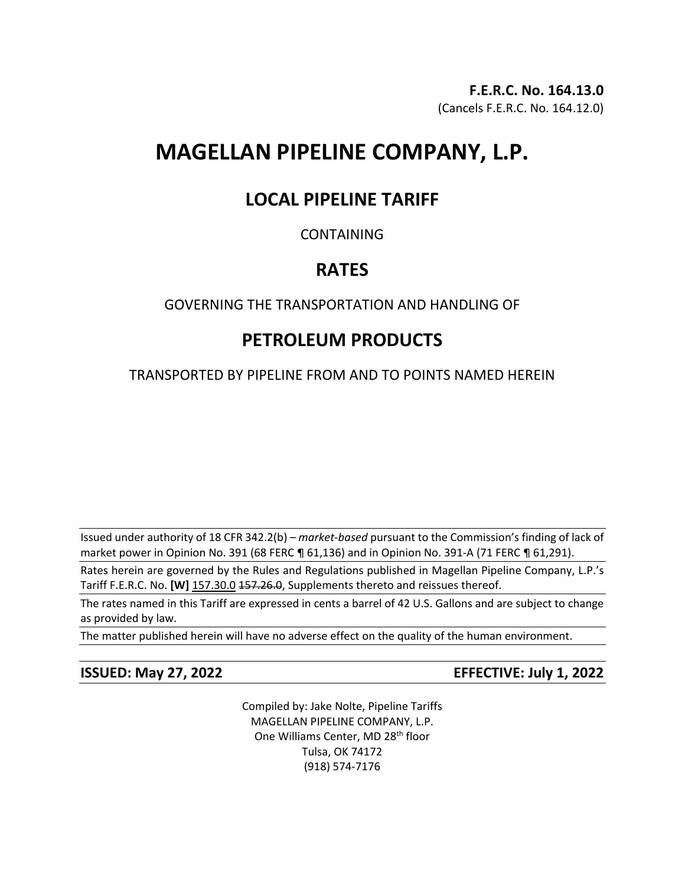# **MAGELLAN PIPELINE COMPANY, L.P.**

# **LOCAL PIPELINE TARIFF**

## CONTAINING

# **RATES**

## GOVERNING THE TRANSPORTATION AND HANDLING OF

# **PETROLEUM PRODUCTS**

TRANSPORTED BY PIPELINE FROM AND TO POINTS NAMED HEREIN

Issued under authority of 18 CFR 342.2(b) – *market-based* pursuant to the Commission's finding of lack of market power in Opinion No. 391 (68 FERC ¶ 61,136) and in Opinion No. 391-A (71 FERC ¶ 61,291).

Rates herein are governed by the Rules and Regulations published in Magellan Pipeline Company, L.P.'s Tariff F.E.R.C. No. [W] 157.30.0 157.26.0, Supplements thereto and reissues thereof.

The rates named in this Tariff are expressed in cents a barrel of 42 U.S. Gallons and are subject to change as provided by law.

The matter published herein will have no adverse effect on the quality of the human environment.

**ISSUED: May 27, 2022 EFFECTIVE: July 1, 2022**

Compiled by: Jake Nolte, Pipeline Tariffs MAGELLAN PIPELINE COMPANY, L.P. One Williams Center, MD 28<sup>th</sup> floor Tulsa, OK 74172 (918) 574-7176